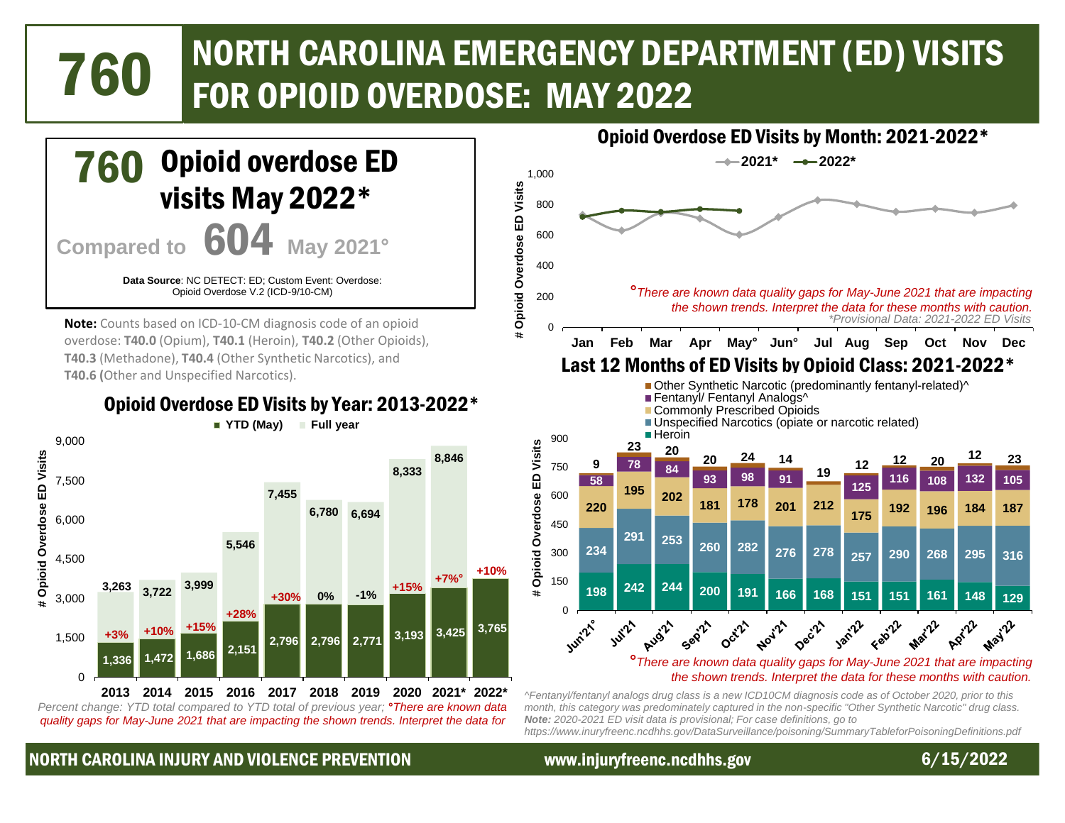# NORTH CAROLINA EMERGENCY DEPARTMENT (ED) VISITS 760 FOR OPIOID OVERDOSE: MAY 2022



*Percent change: YTD total compared to YTD total of previous year;* **°***There are known data quality gaps for May-June 2021 that are impacting the shown trends. Interpret the data for* 

*Note: 2020-2021 ED visit data is provisional; For case definitions, go to https://www.inuryfreenc.ncdhhs.gov/DataSurveillance/poisoning/SummaryTableforPoisoningDefinitions.pdf*

### NORTH CAROLINA INJURY AND VIOLENCE PREVENTION www.injuryfreenc.ncdhhs.gov 6/15/2022



 $\hat{\mathcal{V}}$ **May**